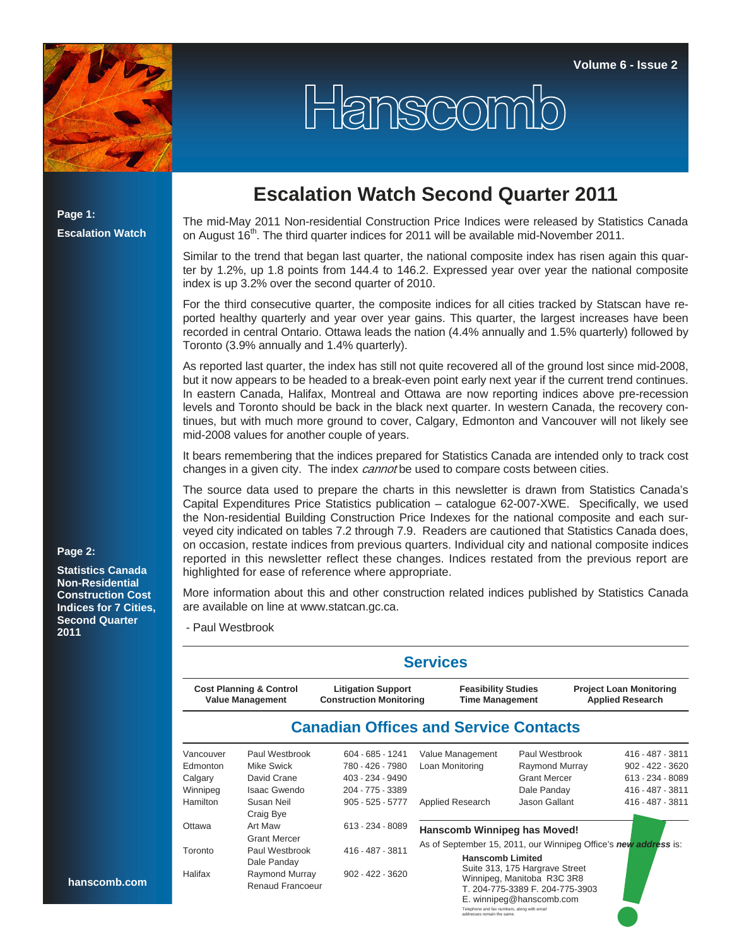

**Page 1: Escalation Watch**

## **Escalation Watch Second Quarter 2011**

Hanscomb

The mid-May 2011 Non-residential Construction Price Indices were released by Statistics Canada on August  $16<sup>th</sup>$ . The third quarter indices for 2011 will be available mid-November 2011.

Similar to the trend that began last quarter, the national composite index has risen again this quarter by 1.2%, up 1.8 points from 144.4 to 146.2. Expressed year over year the national composite index is up 3.2% over the second quarter of 2010.

For the third consecutive quarter, the composite indices for all cities tracked by Statscan have reported healthy quarterly and year over year gains. This quarter, the largest increases have been recorded in central Ontario. Ottawa leads the nation (4.4% annually and 1.5% quarterly) followed by Toronto (3.9% annually and 1.4% quarterly).

As reported last quarter, the index has still not quite recovered all of the ground lost since mid-2008, but it now appears to be headed to a break-even point early next year if the current trend continues. In eastern Canada, Halifax, Montreal and Ottawa are now reporting indices above pre-recession levels and Toronto should be back in the black next quarter. In western Canada, the recovery continues, but with much more ground to cover, Calgary, Edmonton and Vancouver will not likely see mid-2008 values for another couple of years.

It bears remembering that the indices prepared for Statistics Canada are intended only to track cost changes in a given city. The index *cannot* be used to compare costs between cities.

The source data used to prepare the charts in this newsletter is drawn from Statistics Canada's Capital Expenditures Price Statistics publication – catalogue 62-007-XWE. Specifically, we used the Non-residential Building Construction Price Indexes for the national composite and each surveyed city indicated on tables 7.2 through 7.9. Readers are cautioned that Statistics Canada does, on occasion, restate indices from previous quarters. Individual city and national composite indices reported in this newsletter reflect these changes. Indices restated from the previous report are highlighted for ease of reference where appropriate.

More information about this and other construction related indices published by Statistics Canada are available on line at www.statcan.gc.ca.

- Paul Westbrook

|                                                               |                                     |                                                             | <b>Services</b>                                                                            |                                                                                                                             |                                                           |  |  |  |  |
|---------------------------------------------------------------|-------------------------------------|-------------------------------------------------------------|--------------------------------------------------------------------------------------------|-----------------------------------------------------------------------------------------------------------------------------|-----------------------------------------------------------|--|--|--|--|
| <b>Cost Planning &amp; Control</b><br><b>Value Management</b> |                                     | <b>Litigation Support</b><br><b>Construction Monitoring</b> | <b>Feasibility Studies</b><br><b>Time Management</b>                                       |                                                                                                                             | <b>Project Loan Monitoring</b><br><b>Applied Research</b> |  |  |  |  |
|                                                               |                                     | <b>Canadian Offices and Service Contacts</b>                |                                                                                            |                                                                                                                             |                                                           |  |  |  |  |
| Vancouver<br>Edmonton                                         | Paul Westbrook<br><b>Mike Swick</b> | $604 - 685 - 1241$<br>780 - 426 - 7980                      | Value Management<br>Loan Monitoring                                                        | Paul Westbrook<br>Raymond Murray                                                                                            | 416 - 487 - 3811<br>$902 - 422 - 3620$                    |  |  |  |  |
| Calgary                                                       | David Crane                         | 403 - 234 - 9490                                            |                                                                                            | <b>Grant Mercer</b>                                                                                                         | 613 - 234 - 8089                                          |  |  |  |  |
| Winnipeg                                                      | Isaac Gwendo                        | 204 - 775 - 3389                                            |                                                                                            | Dale Panday                                                                                                                 | 416 - 487 - 3811                                          |  |  |  |  |
| <b>Hamilton</b>                                               | Susan Neil<br>Craig Bye             | $905 - 525 - 5777$                                          | <b>Applied Research</b>                                                                    | Jason Gallant                                                                                                               | 416 - 487 - 3811                                          |  |  |  |  |
| Ottawa                                                        | Art Maw<br><b>Grant Mercer</b>      | 613 - 234 - 8089                                            | Hanscomb Winnipeg has Moved!                                                               |                                                                                                                             |                                                           |  |  |  |  |
| Toronto                                                       | Paul Westbrook<br>Dale Panday       | 416 - 487 - 3811                                            | As of September 15, 2011, our Winnipeg Office's new address is:<br><b>Hanscomb Limited</b> |                                                                                                                             |                                                           |  |  |  |  |
| Halifax                                                       | Raymond Murray<br>Renaud Francoeur  | $902 - 422 - 3620$                                          | Telephone and fax numbers, along with email<br>addresses remain the same.                  | Suite 313, 175 Hargrave Street<br>Winnipeg, Manitoba R3C 3R8<br>T. 204-775-3389 F. 204-775-3903<br>E. winnipeg@hanscomb.com |                                                           |  |  |  |  |

## **Page 2:**

**Statistics Canada Non-Residential Construction Cost Indices for 7 Cities, Second Quarter 2011**